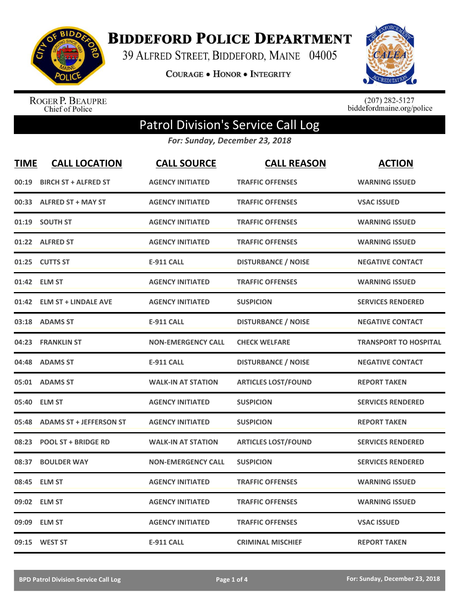

**BIDDEFORD POLICE DEPARTMENT** 

39 ALFRED STREET, BIDDEFORD, MAINE 04005

**COURAGE . HONOR . INTEGRITY** 



ROGER P. BEAUPRE<br>Chief of Police

 $(207)$  282-5127<br>biddefordmaine.org/police

## Patrol Division's Service Call Log

*For: Sunday, December 23, 2018*

| <b>TIME</b> | <b>CALL LOCATION</b>           | <b>CALL SOURCE</b>        | <b>CALL REASON</b>         | <b>ACTION</b>                |
|-------------|--------------------------------|---------------------------|----------------------------|------------------------------|
| 00:19       | <b>BIRCH ST + ALFRED ST</b>    | <b>AGENCY INITIATED</b>   | <b>TRAFFIC OFFENSES</b>    | <b>WARNING ISSUED</b>        |
| 00:33       | <b>ALFRED ST + MAY ST</b>      | <b>AGENCY INITIATED</b>   | <b>TRAFFIC OFFENSES</b>    | <b>VSAC ISSUED</b>           |
| 01:19       | <b>SOUTH ST</b>                | <b>AGENCY INITIATED</b>   | <b>TRAFFIC OFFENSES</b>    | <b>WARNING ISSUED</b>        |
| 01:22       | <b>ALFRED ST</b>               | <b>AGENCY INITIATED</b>   | <b>TRAFFIC OFFENSES</b>    | <b>WARNING ISSUED</b>        |
| 01:25       | <b>CUTTS ST</b>                | <b>E-911 CALL</b>         | <b>DISTURBANCE / NOISE</b> | <b>NEGATIVE CONTACT</b>      |
|             | 01:42 ELM ST                   | <b>AGENCY INITIATED</b>   | <b>TRAFFIC OFFENSES</b>    | <b>WARNING ISSUED</b>        |
| 01:42       | <b>ELM ST + LINDALE AVE</b>    | <b>AGENCY INITIATED</b>   | <b>SUSPICION</b>           | <b>SERVICES RENDERED</b>     |
| 03:18       | <b>ADAMS ST</b>                | <b>E-911 CALL</b>         | <b>DISTURBANCE / NOISE</b> | <b>NEGATIVE CONTACT</b>      |
| 04:23       | <b>FRANKLIN ST</b>             | <b>NON-EMERGENCY CALL</b> | <b>CHECK WELFARE</b>       | <b>TRANSPORT TO HOSPITAL</b> |
| 04:48       | <b>ADAMS ST</b>                | <b>E-911 CALL</b>         | <b>DISTURBANCE / NOISE</b> | <b>NEGATIVE CONTACT</b>      |
|             | 05:01 ADAMS ST                 | <b>WALK-IN AT STATION</b> | <b>ARTICLES LOST/FOUND</b> | <b>REPORT TAKEN</b>          |
| 05:40       | <b>ELM ST</b>                  | <b>AGENCY INITIATED</b>   | <b>SUSPICION</b>           | <b>SERVICES RENDERED</b>     |
| 05:48       | <b>ADAMS ST + JEFFERSON ST</b> | <b>AGENCY INITIATED</b>   | <b>SUSPICION</b>           | <b>REPORT TAKEN</b>          |
| 08:23       | <b>POOL ST + BRIDGE RD</b>     | <b>WALK-IN AT STATION</b> | <b>ARTICLES LOST/FOUND</b> | <b>SERVICES RENDERED</b>     |
| 08:37       | <b>BOULDER WAY</b>             | <b>NON-EMERGENCY CALL</b> | <b>SUSPICION</b>           | <b>SERVICES RENDERED</b>     |
| 08:45       | <b>ELM ST</b>                  | <b>AGENCY INITIATED</b>   | <b>TRAFFIC OFFENSES</b>    | <b>WARNING ISSUED</b>        |
|             | 09:02 ELM ST                   | <b>AGENCY INITIATED</b>   | <b>TRAFFIC OFFENSES</b>    | <b>WARNING ISSUED</b>        |
| 09:09       | <b>ELM ST</b>                  | <b>AGENCY INITIATED</b>   | <b>TRAFFIC OFFENSES</b>    | <b>VSAC ISSUED</b>           |
|             | 09:15 WEST ST                  | <b>E-911 CALL</b>         | <b>CRIMINAL MISCHIEF</b>   | <b>REPORT TAKEN</b>          |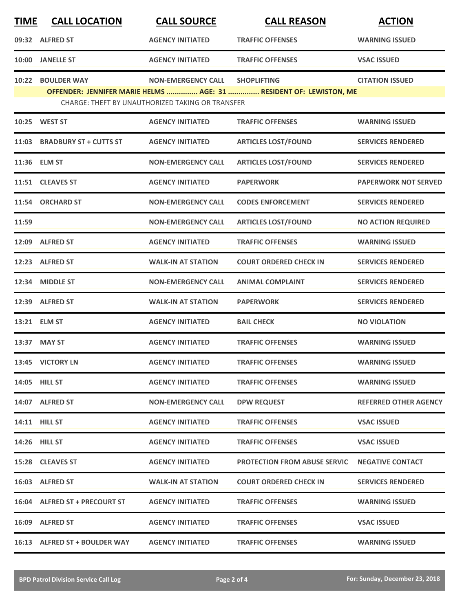| <b>TIME</b> | <b>CALL LOCATION</b>                                                                                                          | <b>CALL SOURCE</b>        | <b>CALL REASON</b>                  | <b>ACTION</b>                |  |  |  |
|-------------|-------------------------------------------------------------------------------------------------------------------------------|---------------------------|-------------------------------------|------------------------------|--|--|--|
|             | 09:32 ALFRED ST                                                                                                               | <b>AGENCY INITIATED</b>   | <b>TRAFFIC OFFENSES</b>             | <b>WARNING ISSUED</b>        |  |  |  |
| 10:00       | <b>JANELLE ST</b>                                                                                                             | <b>AGENCY INITIATED</b>   | <b>TRAFFIC OFFENSES</b>             | <b>VSAC ISSUED</b>           |  |  |  |
| 10:22       | <b>BOULDER WAY</b>                                                                                                            | <b>NON-EMERGENCY CALL</b> | <b>SHOPLIFTING</b>                  | <b>CITATION ISSUED</b>       |  |  |  |
|             | OFFENDER: JENNIFER MARIE HELMS  AGE: 31  RESIDENT OF: LEWISTON, ME<br><b>CHARGE: THEFT BY UNAUTHORIZED TAKING OR TRANSFER</b> |                           |                                     |                              |  |  |  |
|             | 10:25 WEST ST                                                                                                                 | <b>AGENCY INITIATED</b>   | <b>TRAFFIC OFFENSES</b>             | <b>WARNING ISSUED</b>        |  |  |  |
|             | 11:03 BRADBURY ST + CUTTS ST                                                                                                  | <b>AGENCY INITIATED</b>   | <b>ARTICLES LOST/FOUND</b>          | <b>SERVICES RENDERED</b>     |  |  |  |
|             | 11:36 ELM ST                                                                                                                  | <b>NON-EMERGENCY CALL</b> | <b>ARTICLES LOST/FOUND</b>          | <b>SERVICES RENDERED</b>     |  |  |  |
|             | 11:51 CLEAVES ST                                                                                                              | <b>AGENCY INITIATED</b>   | <b>PAPERWORK</b>                    | <b>PAPERWORK NOT SERVED</b>  |  |  |  |
| 11:54       | <b>ORCHARD ST</b>                                                                                                             | <b>NON-EMERGENCY CALL</b> | <b>CODES ENFORCEMENT</b>            | <b>SERVICES RENDERED</b>     |  |  |  |
| 11:59       |                                                                                                                               | <b>NON-EMERGENCY CALL</b> | <b>ARTICLES LOST/FOUND</b>          | <b>NO ACTION REQUIRED</b>    |  |  |  |
|             | 12:09 ALFRED ST                                                                                                               | <b>AGENCY INITIATED</b>   | <b>TRAFFIC OFFENSES</b>             | <b>WARNING ISSUED</b>        |  |  |  |
|             | 12:23 ALFRED ST                                                                                                               | <b>WALK-IN AT STATION</b> | <b>COURT ORDERED CHECK IN</b>       | <b>SERVICES RENDERED</b>     |  |  |  |
| 12:34       | <b>MIDDLE ST</b>                                                                                                              | <b>NON-EMERGENCY CALL</b> | <b>ANIMAL COMPLAINT</b>             | <b>SERVICES RENDERED</b>     |  |  |  |
|             | 12:39 ALFRED ST                                                                                                               | <b>WALK-IN AT STATION</b> | <b>PAPERWORK</b>                    | <b>SERVICES RENDERED</b>     |  |  |  |
|             | 13:21 ELM ST                                                                                                                  | <b>AGENCY INITIATED</b>   | <b>BAIL CHECK</b>                   | <b>NO VIOLATION</b>          |  |  |  |
|             | 13:37 MAY ST                                                                                                                  | <b>AGENCY INITIATED</b>   | <b>TRAFFIC OFFENSES</b>             | <b>WARNING ISSUED</b>        |  |  |  |
|             | 13:45 VICTORY LN                                                                                                              | <b>AGENCY INITIATED</b>   | <b>TRAFFIC OFFENSES</b>             | <b>WARNING ISSUED</b>        |  |  |  |
|             | 14:05 HILL ST                                                                                                                 | <b>AGENCY INITIATED</b>   | <b>TRAFFIC OFFENSES</b>             | <b>WARNING ISSUED</b>        |  |  |  |
|             | 14:07 ALFRED ST                                                                                                               | <b>NON-EMERGENCY CALL</b> | <b>DPW REQUEST</b>                  | <b>REFERRED OTHER AGENCY</b> |  |  |  |
|             | 14:11 HILL ST                                                                                                                 | <b>AGENCY INITIATED</b>   | <b>TRAFFIC OFFENSES</b>             | <b>VSAC ISSUED</b>           |  |  |  |
|             | <b>14:26 HILL ST</b>                                                                                                          | <b>AGENCY INITIATED</b>   | <b>TRAFFIC OFFENSES</b>             | <b>VSAC ISSUED</b>           |  |  |  |
|             | 15:28 CLEAVES ST                                                                                                              | <b>AGENCY INITIATED</b>   | <b>PROTECTION FROM ABUSE SERVIC</b> | <b>NEGATIVE CONTACT</b>      |  |  |  |
|             | 16:03 ALFRED ST                                                                                                               | <b>WALK-IN AT STATION</b> | <b>COURT ORDERED CHECK IN</b>       | <b>SERVICES RENDERED</b>     |  |  |  |
|             | 16:04 ALFRED ST + PRECOURT ST                                                                                                 | <b>AGENCY INITIATED</b>   | <b>TRAFFIC OFFENSES</b>             | <b>WARNING ISSUED</b>        |  |  |  |
|             | 16:09 ALFRED ST                                                                                                               | <b>AGENCY INITIATED</b>   | <b>TRAFFIC OFFENSES</b>             | <b>VSAC ISSUED</b>           |  |  |  |
|             | 16:13 ALFRED ST + BOULDER WAY                                                                                                 | <b>AGENCY INITIATED</b>   | <b>TRAFFIC OFFENSES</b>             | <b>WARNING ISSUED</b>        |  |  |  |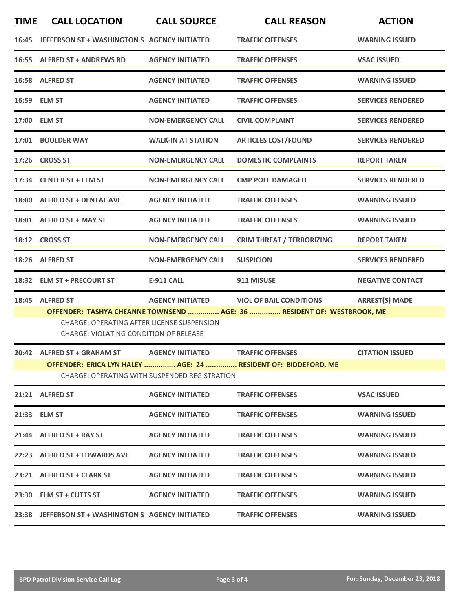| <b>TIME</b>  | <b>CALL LOCATION</b>                                                                                                                                                                                                                                                           | <b>CALL SOURCE</b>        | <b>CALL REASON</b>               | <b>ACTION</b>            |  |  |  |
|--------------|--------------------------------------------------------------------------------------------------------------------------------------------------------------------------------------------------------------------------------------------------------------------------------|---------------------------|----------------------------------|--------------------------|--|--|--|
| 16:45        | JEFFERSON ST + WASHINGTON S AGENCY INITIATED                                                                                                                                                                                                                                   |                           | <b>TRAFFIC OFFENSES</b>          | <b>WARNING ISSUED</b>    |  |  |  |
|              | 16:55 ALFRED ST + ANDREWS RD                                                                                                                                                                                                                                                   | <b>AGENCY INITIATED</b>   | <b>TRAFFIC OFFENSES</b>          | <b>VSAC ISSUED</b>       |  |  |  |
|              | 16:58 ALFRED ST                                                                                                                                                                                                                                                                | <b>AGENCY INITIATED</b>   | <b>TRAFFIC OFFENSES</b>          | <b>WARNING ISSUED</b>    |  |  |  |
| 16:59 ELM ST |                                                                                                                                                                                                                                                                                | <b>AGENCY INITIATED</b>   | <b>TRAFFIC OFFENSES</b>          | <b>SERVICES RENDERED</b> |  |  |  |
|              | 17:00 ELM ST                                                                                                                                                                                                                                                                   | <b>NON-EMERGENCY CALL</b> | <b>CIVIL COMPLAINT</b>           | <b>SERVICES RENDERED</b> |  |  |  |
| 17:01        | <b>BOULDER WAY</b>                                                                                                                                                                                                                                                             | <b>WALK-IN AT STATION</b> | <b>ARTICLES LOST/FOUND</b>       | <b>SERVICES RENDERED</b> |  |  |  |
|              | 17:26 CROSS ST                                                                                                                                                                                                                                                                 | <b>NON-EMERGENCY CALL</b> | <b>DOMESTIC COMPLAINTS</b>       | <b>REPORT TAKEN</b>      |  |  |  |
|              | 17:34 CENTER ST + ELM ST                                                                                                                                                                                                                                                       | <b>NON-EMERGENCY CALL</b> | <b>CMP POLE DAMAGED</b>          | <b>SERVICES RENDERED</b> |  |  |  |
|              | 18:00 ALFRED ST + DENTAL AVE                                                                                                                                                                                                                                                   | <b>AGENCY INITIATED</b>   | <b>TRAFFIC OFFENSES</b>          | <b>WARNING ISSUED</b>    |  |  |  |
|              | 18:01 ALFRED ST + MAY ST                                                                                                                                                                                                                                                       | <b>AGENCY INITIATED</b>   | <b>TRAFFIC OFFENSES</b>          | <b>WARNING ISSUED</b>    |  |  |  |
|              | 18:12 CROSS ST                                                                                                                                                                                                                                                                 | <b>NON-EMERGENCY CALL</b> | <b>CRIM THREAT / TERRORIZING</b> | <b>REPORT TAKEN</b>      |  |  |  |
| 18:26        | <b>ALFRED ST</b>                                                                                                                                                                                                                                                               | <b>NON-EMERGENCY CALL</b> | <b>SUSPICION</b>                 | <b>SERVICES RENDERED</b> |  |  |  |
| 18:32        | <b>ELM ST + PRECOURT ST</b>                                                                                                                                                                                                                                                    | <b>E-911 CALL</b>         | 911 MISUSE                       | <b>NEGATIVE CONTACT</b>  |  |  |  |
|              | 18:45 ALFRED ST<br><b>AGENCY INITIATED</b><br><b>VIOL OF BAIL CONDITIONS</b><br><b>ARREST(S) MADE</b><br>OFFENDER: TASHYA CHEANNE TOWNSEND  AGE: 36  RESIDENT OF: WESTBROOK, ME<br>CHARGE: OPERATING AFTER LICENSE SUSPENSION<br><b>CHARGE: VIOLATING CONDITION OF RELEASE</b> |                           |                                  |                          |  |  |  |
|              | 20:42 ALFRED ST + GRAHAM ST                                                                                                                                                                                                                                                    | <b>AGENCY INITIATED</b>   | <b>TRAFFIC OFFENSES</b>          | <b>CITATION ISSUED</b>   |  |  |  |
|              | OFFENDER: ERICA LYN HALEY  AGE: 24  RESIDENT OF: BIDDEFORD, ME<br>CHARGE: OPERATING WITH SUSPENDED REGISTRATION                                                                                                                                                                |                           |                                  |                          |  |  |  |
|              | 21:21 ALFRED ST                                                                                                                                                                                                                                                                | <b>AGENCY INITIATED</b>   | <b>TRAFFIC OFFENSES</b>          | <b>VSAC ISSUED</b>       |  |  |  |
|              | 21:33 ELM ST                                                                                                                                                                                                                                                                   | <b>AGENCY INITIATED</b>   | <b>TRAFFIC OFFENSES</b>          | <b>WARNING ISSUED</b>    |  |  |  |
|              | 21:44 ALFRED ST + RAY ST                                                                                                                                                                                                                                                       | <b>AGENCY INITIATED</b>   | <b>TRAFFIC OFFENSES</b>          | <b>WARNING ISSUED</b>    |  |  |  |
|              | 22:23 ALFRED ST + EDWARDS AVE                                                                                                                                                                                                                                                  | <b>AGENCY INITIATED</b>   | <b>TRAFFIC OFFENSES</b>          | <b>WARNING ISSUED</b>    |  |  |  |
|              | 23:21 ALFRED ST + CLARK ST                                                                                                                                                                                                                                                     | <b>AGENCY INITIATED</b>   | <b>TRAFFIC OFFENSES</b>          | <b>WARNING ISSUED</b>    |  |  |  |
|              | 23:30 ELM ST + CUTTS ST                                                                                                                                                                                                                                                        | <b>AGENCY INITIATED</b>   | <b>TRAFFIC OFFENSES</b>          | <b>WARNING ISSUED</b>    |  |  |  |
|              | 23:38 JEFFERSON ST + WASHINGTON S AGENCY INITIATED                                                                                                                                                                                                                             |                           | <b>TRAFFIC OFFENSES</b>          | <b>WARNING ISSUED</b>    |  |  |  |